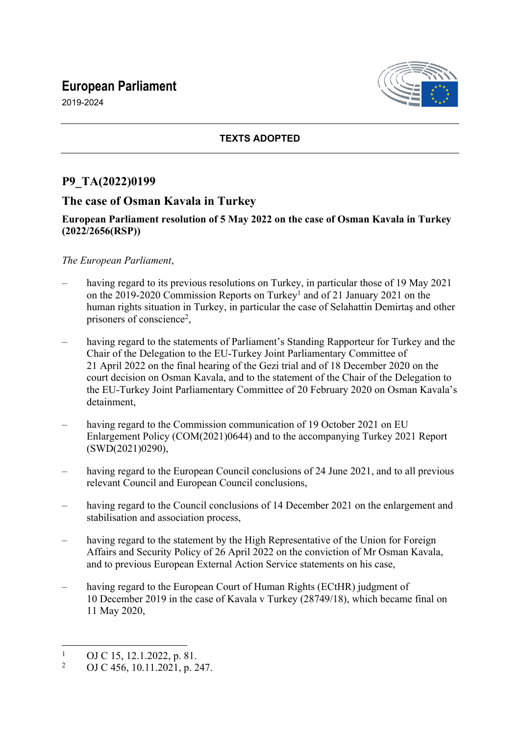# **European Parliament**





#### **TEXTS ADOPTED**

## **P9\_TA(2022)0199**

### **The case of Osman Kavala in Turkey**

#### **European Parliament resolution of 5 May 2022 on the case of Osman Kavala in Turkey (2022/2656(RSP))**

#### *The European Parliament*,

- having regard to its previous resolutions on Turkey, in particular those of 19 May 2021 on the 2019-2020 Commission Reports on Turkey<sup>1</sup> and of 21 January 2021 on the human rights situation in Turkey, in particular the case of Selahattin Demirtaş and other prisoners of conscience<sup>2</sup>,
- having regard to the statements of Parliament's Standing Rapporteur for Turkey and the Chair of the Delegation to the EU-Turkey Joint Parliamentary Committee of 21 April 2022 on the final hearing of the Gezi trial and of 18 December 2020 on the court decision on Osman Kavala, and to the statement of the Chair of the Delegation to the EU-Turkey Joint Parliamentary Committee of 20 February 2020 on Osman Kavala's detainment,
- having regard to the Commission communication of 19 October 2021 on EU Enlargement Policy (COM(2021)0644) and to the accompanying Turkey 2021 Report (SWD(2021)0290),
- having regard to the European Council conclusions of 24 June 2021, and to all previous relevant Council and European Council conclusions,
- having regard to the Council conclusions of 14 December 2021 on the enlargement and stabilisation and association process,
- having regard to the statement by the High Representative of the Union for Foreign Affairs and Security Policy of 26 April 2022 on the conviction of Mr Osman Kavala, and to previous European External Action Service statements on his case,
- having regard to the European Court of Human Rights (ECtHR) judgment of 10 December 2019 in the case of Kavala v Turkey (28749/18), which became final on 11 May 2020,

<sup>1</sup> OJ C 15, 12.1.2022, p. 81.

<sup>2</sup> OJ C 456, 10.11.2021, p. 247.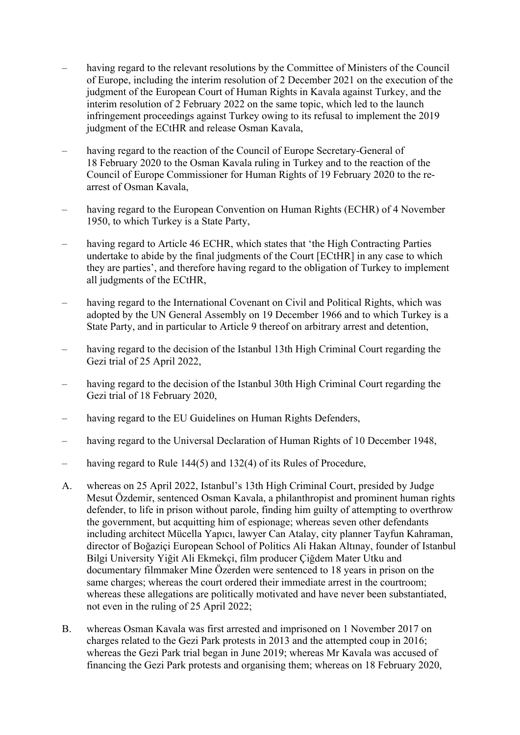- having regard to the relevant resolutions by the Committee of Ministers of the Council of Europe, including the interim resolution of 2 December 2021 on the execution of the judgment of the European Court of Human Rights in Kavala against Turkey, and the interim resolution of 2 February 2022 on the same topic, which led to the launch infringement proceedings against Turkey owing to its refusal to implement the 2019 judgment of the ECtHR and release Osman Kavala,
- having regard to the reaction of the Council of Europe Secretary-General of 18 February 2020 to the Osman Kavala ruling in Turkey and to the reaction of the Council of Europe Commissioner for Human Rights of 19 February 2020 to the rearrest of Osman Kavala,
- having regard to the European Convention on Human Rights (ECHR) of 4 November 1950, to which Turkey is a State Party,
- having regard to Article 46 ECHR, which states that 'the High Contracting Parties undertake to abide by the final judgments of the Court [ECtHR] in any case to which they are parties', and therefore having regard to the obligation of Turkey to implement all judgments of the ECtHR,
- having regard to the International Covenant on Civil and Political Rights, which was adopted by the UN General Assembly on 19 December 1966 and to which Turkey is a State Party, and in particular to Article 9 thereof on arbitrary arrest and detention,
- having regard to the decision of the Istanbul 13th High Criminal Court regarding the Gezi trial of 25 April 2022,
- having regard to the decision of the Istanbul 30th High Criminal Court regarding the Gezi trial of 18 February 2020,
- having regard to the EU Guidelines on Human Rights Defenders,
- having regard to the Universal Declaration of Human Rights of 10 December 1948,
- having regard to Rule 144(5) and 132(4) of its Rules of Procedure,
- A. whereas on 25 April 2022, Istanbul's 13th High Criminal Court, presided by Judge Mesut Özdemir, sentenced Osman Kavala, a philanthropist and prominent human rights defender, to life in prison without parole, finding him guilty of attempting to overthrow the government, but acquitting him of espionage; whereas seven other defendants including architect Mücella Yapıcı, lawyer Can Atalay, city planner Tayfun Kahraman, director of Boğaziçi European School of Politics Ali Hakan Altınay, founder of Istanbul Bilgi University Yiğit Ali Ekmekçi, film producer Çiğdem Mater Utku and documentary filmmaker Mine Özerden were sentenced to 18 years in prison on the same charges; whereas the court ordered their immediate arrest in the courtroom; whereas these allegations are politically motivated and have never been substantiated, not even in the ruling of 25 April 2022;
- B. whereas Osman Kavala was first arrested and imprisoned on 1 November 2017 on charges related to the Gezi Park protests in 2013 and the attempted coup in 2016; whereas the Gezi Park trial began in June 2019; whereas Mr Kavala was accused of financing the Gezi Park protests and organising them; whereas on 18 February 2020,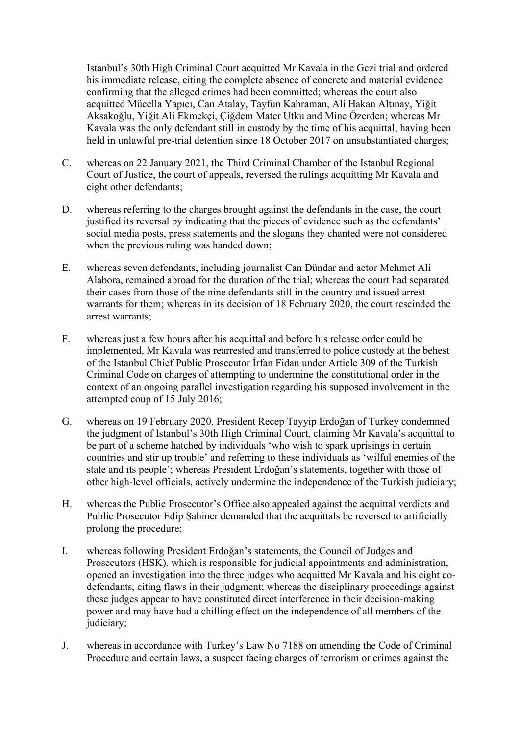Istanbul's 30th High Criminal Court acquitted Mr Kavala in the Gezi trial and ordered his immediate release, citing the complete absence of concrete and material evidence confirming that the alleged crimes had been committed; whereas the court also acquitted Mücella Yapıcı, Can Atalay, Tayfun Kahraman, Ali Hakan Altınay, Yiğit Aksakoğlu, Yiğit Ali Ekmekçi, Çiğdem Mater Utku and Mine Özerden; whereas Mr Kavala was the only defendant still in custody by the time of his acquittal, having been held in unlawful pre-trial detention since 18 October 2017 on unsubstantiated charges;

- C. whereas on 22 January 2021, the Third Criminal Chamber of the Istanbul Regional Court of Justice, the court of appeals, reversed the rulings acquitting Mr Kavala and eight other defendants;
- D. whereas referring to the charges brought against the defendants in the case, the court justified its reversal by indicating that the pieces of evidence such as the defendants' social media posts, press statements and the slogans they chanted were not considered when the previous ruling was handed down:
- E. whereas seven defendants, including journalist Can Dündar and actor Mehmet Ali Alabora, remained abroad for the duration of the trial; whereas the court had separated their cases from those of the nine defendants still in the country and issued arrest warrants for them; whereas in its decision of 18 February 2020, the court rescinded the arrest warrants;
- F. whereas just a few hours after his acquittal and before his release order could be implemented, Mr Kavala was rearrested and transferred to police custody at the behest of the Istanbul Chief Public Prosecutor İrfan Fidan under Article 309 of the Turkish Criminal Code on charges of attempting to undermine the constitutional order in the context of an ongoing parallel investigation regarding his supposed involvement in the attempted coup of 15 July 2016;
- G. whereas on 19 February 2020, President Recep Tayyip Erdoğan of Turkey condemned the judgment of Istanbul's 30th High Criminal Court, claiming Mr Kavala's acquittal to be part of a scheme hatched by individuals 'who wish to spark uprisings in certain countries and stir up trouble' and referring to these individuals as 'wilful enemies of the state and its people'; whereas President Erdoğan's statements, together with those of other high-level officials, actively undermine the independence of the Turkish judiciary;
- H. whereas the Public Prosecutor's Office also appealed against the acquittal verdicts and Public Prosecutor Edip Şahiner demanded that the acquittals be reversed to artificially prolong the procedure;
- I. whereas following President Erdoğan's statements, the Council of Judges and Prosecutors (HSK), which is responsible for judicial appointments and administration, opened an investigation into the three judges who acquitted Mr Kavala and his eight codefendants, citing flaws in their judgment; whereas the disciplinary proceedings against these judges appear to have constituted direct interference in their decision-making power and may have had a chilling effect on the independence of all members of the judiciary;
- J. whereas in accordance with Turkey's Law No 7188 on amending the Code of Criminal Procedure and certain laws, a suspect facing charges of terrorism or crimes against the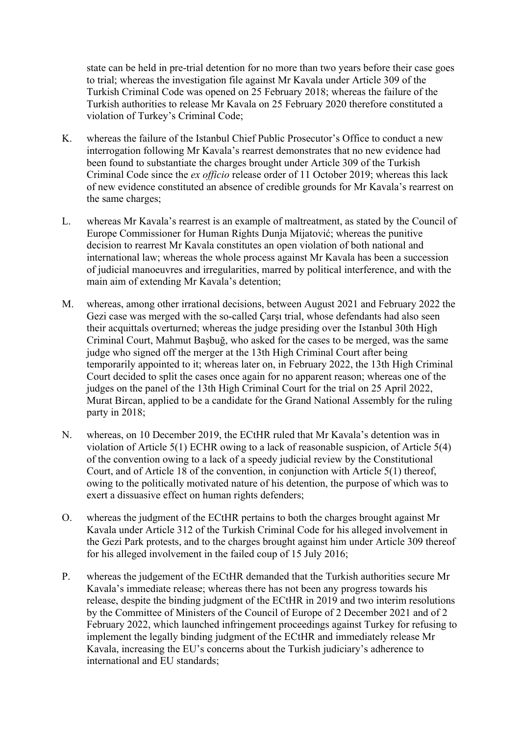state can be held in pre-trial detention for no more than two years before their case goes to trial; whereas the investigation file against Mr Kavala under Article 309 of the Turkish Criminal Code was opened on 25 February 2018; whereas the failure of the Turkish authorities to release Mr Kavala on 25 February 2020 therefore constituted a violation of Turkey's Criminal Code;

- K. whereas the failure of the Istanbul Chief Public Prosecutor's Office to conduct a new interrogation following Mr Kavala's rearrest demonstrates that no new evidence had been found to substantiate the charges brought under Article 309 of the Turkish Criminal Code since the *ex officio* release order of 11 October 2019; whereas this lack of new evidence constituted an absence of credible grounds for Mr Kavala's rearrest on the same charges;
- L. whereas Mr Kavala's rearrest is an example of maltreatment, as stated by the Council of Europe Commissioner for Human Rights Dunja Mijatović; whereas the punitive decision to rearrest Mr Kavala constitutes an open violation of both national and international law; whereas the whole process against Mr Kavala has been a succession of judicial manoeuvres and irregularities, marred by political interference, and with the main aim of extending Mr Kavala's detention;
- M. whereas, among other irrational decisions, between August 2021 and February 2022 the Gezi case was merged with the so-called Çarşı trial, whose defendants had also seen their acquittals overturned; whereas the judge presiding over the Istanbul 30th High Criminal Court, Mahmut Başbuğ, who asked for the cases to be merged, was the same judge who signed off the merger at the 13th High Criminal Court after being temporarily appointed to it; whereas later on, in February 2022, the 13th High Criminal Court decided to split the cases once again for no apparent reason; whereas one of the judges on the panel of the 13th High Criminal Court for the trial on 25 April 2022, Murat Bircan, applied to be a candidate for the Grand National Assembly for the ruling party in 2018;
- N. whereas, on 10 December 2019, the ECtHR ruled that Mr Kavala's detention was in violation of Article 5(1) ECHR owing to a lack of reasonable suspicion, of Article 5(4) of the convention owing to a lack of a speedy judicial review by the Constitutional Court, and of Article 18 of the convention, in conjunction with Article 5(1) thereof, owing to the politically motivated nature of his detention, the purpose of which was to exert a dissuasive effect on human rights defenders;
- O. whereas the judgment of the ECtHR pertains to both the charges brought against Mr Kavala under Article 312 of the Turkish Criminal Code for his alleged involvement in the Gezi Park protests, and to the charges brought against him under Article 309 thereof for his alleged involvement in the failed coup of 15 July 2016;
- P. whereas the judgement of the ECtHR demanded that the Turkish authorities secure Mr Kavala's immediate release; whereas there has not been any progress towards his release, despite the binding judgment of the ECtHR in 2019 and two interim resolutions by the Committee of Ministers of the Council of Europe of 2 December 2021 and of 2 February 2022, which launched infringement proceedings against Turkey for refusing to implement the legally binding judgment of the ECtHR and immediately release Mr Kavala, increasing the EU's concerns about the Turkish judiciary's adherence to international and EU standards;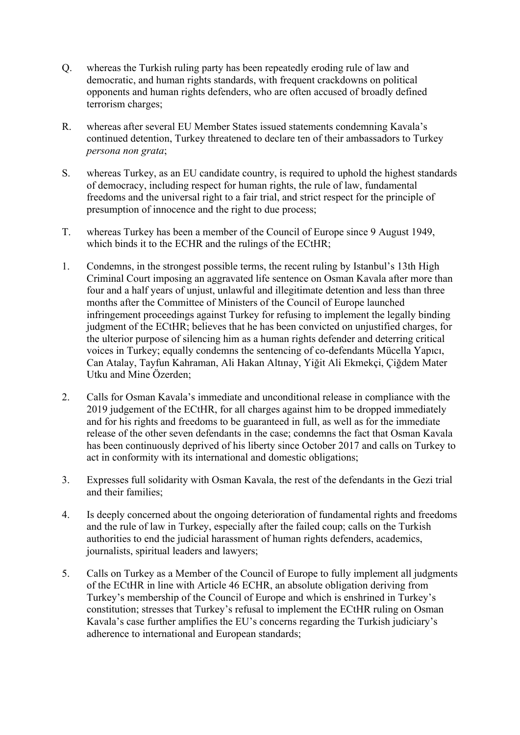- Q. whereas the Turkish ruling party has been repeatedly eroding rule of law and democratic, and human rights standards, with frequent crackdowns on political opponents and human rights defenders, who are often accused of broadly defined terrorism charges;
- R. whereas after several EU Member States issued statements condemning Kavala's continued detention, Turkey threatened to declare ten of their ambassadors to Turkey *persona non grata*;
- S. whereas Turkey, as an EU candidate country, is required to uphold the highest standards of democracy, including respect for human rights, the rule of law, fundamental freedoms and the universal right to a fair trial, and strict respect for the principle of presumption of innocence and the right to due process;
- T. whereas Turkey has been a member of the Council of Europe since 9 August 1949, which binds it to the ECHR and the rulings of the ECtHR;
- 1. Condemns, in the strongest possible terms, the recent ruling by Istanbul's 13th High Criminal Court imposing an aggravated life sentence on Osman Kavala after more than four and a half years of unjust, unlawful and illegitimate detention and less than three months after the Committee of Ministers of the Council of Europe launched infringement proceedings against Turkey for refusing to implement the legally binding judgment of the ECtHR; believes that he has been convicted on unjustified charges, for the ulterior purpose of silencing him as a human rights defender and deterring critical voices in Turkey; equally condemns the sentencing of co-defendants Mücella Yapıcı, Can Atalay, Tayfun Kahraman, Ali Hakan Altınay, Yiğit Ali Ekmekçi, Çiğdem Mater Utku and Mine Özerden;
- 2. Calls for Osman Kavala's immediate and unconditional release in compliance with the 2019 judgement of the ECtHR, for all charges against him to be dropped immediately and for his rights and freedoms to be guaranteed in full, as well as for the immediate release of the other seven defendants in the case; condemns the fact that Osman Kavala has been continuously deprived of his liberty since October 2017 and calls on Turkey to act in conformity with its international and domestic obligations;
- 3. Expresses full solidarity with Osman Kavala, the rest of the defendants in the Gezi trial and their families;
- 4. Is deeply concerned about the ongoing deterioration of fundamental rights and freedoms and the rule of law in Turkey, especially after the failed coup; calls on the Turkish authorities to end the judicial harassment of human rights defenders, academics, journalists, spiritual leaders and lawyers;
- 5. Calls on Turkey as a Member of the Council of Europe to fully implement all judgments of the ECtHR in line with Article 46 ECHR, an absolute obligation deriving from Turkey's membership of the Council of Europe and which is enshrined in Turkey's constitution; stresses that Turkey's refusal to implement the ECtHR ruling on Osman Kavala's case further amplifies the EU's concerns regarding the Turkish judiciary's adherence to international and European standards;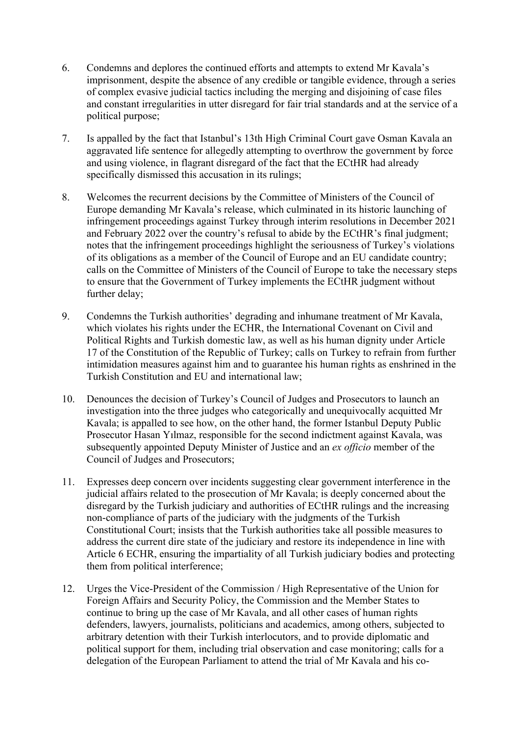- 6. Condemns and deplores the continued efforts and attempts to extend Mr Kavala's imprisonment, despite the absence of any credible or tangible evidence, through a series of complex evasive judicial tactics including the merging and disjoining of case files and constant irregularities in utter disregard for fair trial standards and at the service of a political purpose;
- 7. Is appalled by the fact that Istanbul's 13th High Criminal Court gave Osman Kavala an aggravated life sentence for allegedly attempting to overthrow the government by force and using violence, in flagrant disregard of the fact that the ECtHR had already specifically dismissed this accusation in its rulings;
- 8. Welcomes the recurrent decisions by the Committee of Ministers of the Council of Europe demanding Mr Kavala's release, which culminated in its historic launching of infringement proceedings against Turkey through interim resolutions in December 2021 and February 2022 over the country's refusal to abide by the ECtHR's final judgment; notes that the infringement proceedings highlight the seriousness of Turkey's violations of its obligations as a member of the Council of Europe and an EU candidate country; calls on the Committee of Ministers of the Council of Europe to take the necessary steps to ensure that the Government of Turkey implements the ECtHR judgment without further delay;
- 9. Condemns the Turkish authorities' degrading and inhumane treatment of Mr Kavala, which violates his rights under the ECHR, the International Covenant on Civil and Political Rights and Turkish domestic law, as well as his human dignity under Article 17 of the Constitution of the Republic of Turkey; calls on Turkey to refrain from further intimidation measures against him and to guarantee his human rights as enshrined in the Turkish Constitution and EU and international law;
- 10. Denounces the decision of Turkey's Council of Judges and Prosecutors to launch an investigation into the three judges who categorically and unequivocally acquitted Mr Kavala; is appalled to see how, on the other hand, the former Istanbul Deputy Public Prosecutor Hasan Yılmaz, responsible for the second indictment against Kavala, was subsequently appointed Deputy Minister of Justice and an *ex officio* member of the Council of Judges and Prosecutors;
- 11. Expresses deep concern over incidents suggesting clear government interference in the judicial affairs related to the prosecution of Mr Kavala; is deeply concerned about the disregard by the Turkish judiciary and authorities of ECtHR rulings and the increasing non-compliance of parts of the judiciary with the judgments of the Turkish Constitutional Court; insists that the Turkish authorities take all possible measures to address the current dire state of the judiciary and restore its independence in line with Article 6 ECHR, ensuring the impartiality of all Turkish judiciary bodies and protecting them from political interference;
- 12. Urges the Vice-President of the Commission / High Representative of the Union for Foreign Affairs and Security Policy, the Commission and the Member States to continue to bring up the case of Mr Kavala, and all other cases of human rights defenders, lawyers, journalists, politicians and academics, among others, subjected to arbitrary detention with their Turkish interlocutors, and to provide diplomatic and political support for them, including trial observation and case monitoring; calls for a delegation of the European Parliament to attend the trial of Mr Kavala and his co-